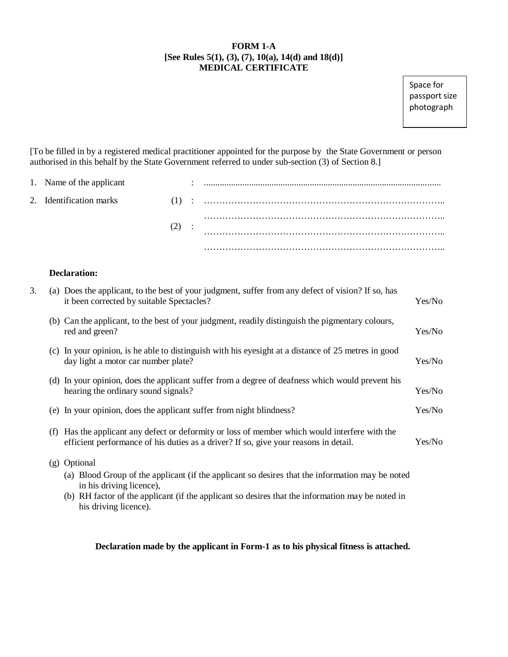## **FORM 1-A [See Rules 5(1), (3), (7), 10(a), 14(d) and 18(d)] MEDICAL CERTIFICATE**

.<br>passport size sassport size<br>abotograph photograph photographSpace for

[To be filled in by a registered medical practitioner appointed for the purpose by the State Government or person authorised in this behalf by the State Government referred to under sub-section (3) of Section 8.]

| 1. Name of the applicant |         |  |
|--------------------------|---------|--|
| 2. Identification marks  |         |  |
|                          | $(2)$ : |  |
|                          |         |  |

## **Declaration:**

his driving licence).

| 3. |     | (a) Does the applicant, to the best of your judgment, suffer from any defect of vision? If so, has<br>it been corrected by suitable Spectacles?                                                                                                 | Yes/No |
|----|-----|-------------------------------------------------------------------------------------------------------------------------------------------------------------------------------------------------------------------------------------------------|--------|
|    |     | (b) Can the applicant, to the best of your judgment, readily distinguish the pigmentary colours,<br>red and green?                                                                                                                              | Yes/No |
|    |     | (c) In your opinion, is he able to distinguish with his eyesight at a distance of 25 metres in good<br>day light a motor car number plate?                                                                                                      | Yes/No |
|    |     | (d) In your opinion, does the applicant suffer from a degree of deafness which would prevent his<br>hearing the ordinary sound signals?                                                                                                         | Yes/No |
|    |     | (e) In your opinion, does the applicant suffer from night blindness?                                                                                                                                                                            | Yes/No |
|    | (f) | Has the applicant any defect or deformity or loss of member which would interfere with the<br>efficient performance of his duties as a driver? If so, give your reasons in detail.                                                              | Yes/No |
|    |     | (g) Optional<br>(a) Blood Group of the applicant (if the applicant so desires that the information may be noted<br>in his driving licence),<br>(b) RH factor of the applicant (if the applicant so desires that the information may be noted in |        |

## **Declaration made by the applicant in Form-1 as to his physical fitness is attached.**